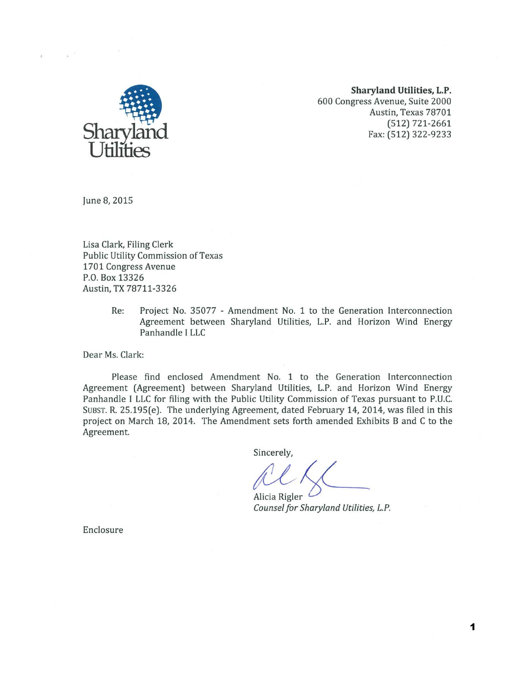

**Sharyland Utilities, L.P.**  600 Congress Avenue, Suite 2000 Austin, Texas 78701 (512) 721-2661 Fax: (512) 322-9233

June *8,* 2015

Lisa Clark, Filing Clerk Public Utility Commission of Texas 1701 Congress Avenue P.O. Box 13326 Austin, TX 78711-3326

> Re: Project No. 35077 - Amendment No. 1 to the Generation Interconnection Agreement between Sharyland Utilities, L.P. and Horizon Wind Energy Panhandle I LLC

Dear Ms. Clark:

Please find enclosed Amendment No. 1 to the Generation Interconnection Agreement (Agreement) between Sharyland Utilities, L.P. and Horizon Wind Energy Panhandle I LLC for filing with the Public Utility Commission of Texas pursuant to P.U.C. SUBST. R. 25.195(e). The underlying Agreement, dated February 14, 2014, was filed in this project on March 18, 2014. The Amendment sets forth amended Exhibits B and C to the Agreement.

Sincerely,

Alicia Rigler *Counsel for Sharyland Utilities, L.P.* 

Enclosure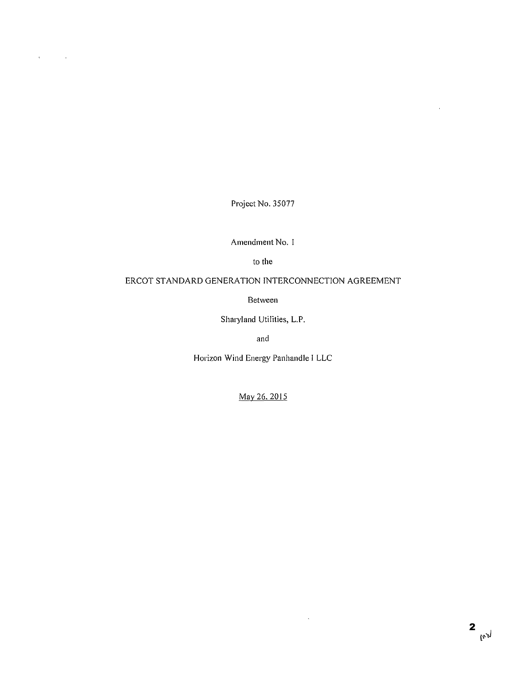Project No. 35077

 $\ddot{\phantom{a}}$ 

 $\mathbb{R}^2$ 

Amendment No. I

to the

# ERCOT STANDARD GENERATION INTERCONNECTION AGREEMENT

Between

Sharyland Utilities, L.P.

and

Horizon Wind Energy Panhandle I LLC

May 26.2015

 $\mathcal{L}^{\pm}$ 

 $\bar{\mathbf{r}}$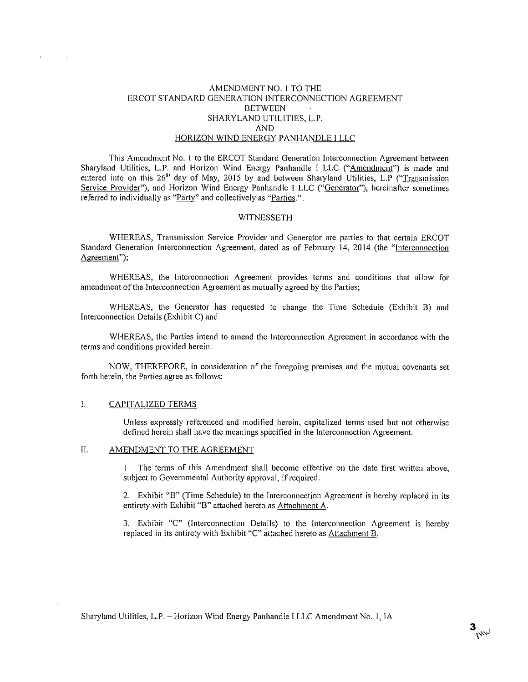### AMENDMENT NO. I TO THE ERCOT STANDARD GENERATION INTERCONNECTION AGREEMENT **BETWEEN** SHARYLAND UTILITIES, L.P. AND HORIZON WIND ENERGY PANHANDLE I LLC

This Amendment No. 1 to the ERCOT Standard Generation Interconnection Agreement between Sharyland Utilities, L.P. and Horizon Wind Energy Panhandle I LLC ("Amendment") is made and entered into on this 26<sup>th</sup> day of May, 2015 by and between Sharyland Utilities, L.P ("Transmission") Service Provider"), and Horizon Wind Energy Panhandle I LLC ("Generator"), hereinafter sometimes referred to individually as "Party" and collectively as "Parties."

#### WITNESSETH

WHEREAS, Transmission Service Provider and Generator are parties to that certain ERCOT Standard Generation Interconnection Agreement, dated as of February 14, 2014 (the "Interconnection Agreement");

WHEREAS, the Interconnection Agreement provides terms and conditions that allow for amendment of the Interconnection Agreement as mutually agreed by the Parties;

WHEREAS, the Generator has requested to change the Time Schedule (Exhibit B) and Interconnection Details (Exhibit C) and

WHEREAS, the Parties intend to amend the Interconnection Agreement in accordance with the terms and conditions provided herein.

NOW, THEREFORE, in consideration of the foregoing premises and the mutual covenants set forth herein, the Parties agree as follows:

#### I. CAPITALIZED TERMS

Unless expressly referenced and modified herein, capitalized terms used but not otherwise defined herein shall have the meanings specified in the Interconnection Agreement.

#### II. AMENDMENT TO THE AGREEMENT

I. The terms of this Amendment shall become effective on the date first written above, subject to Governmental Authority approval, if required.

2. Exhibit "B" (Time Schedule) to the Interconnection Agreement is hereby replaced in its entirety with Exhibit "B" attached hereto as Attachment A.

3. Exhibit "C" (Interconnection Details) to the Interconnection Agreement is hereby replaced in its entirety with Exhibit "C" attached hereto as Attachment B.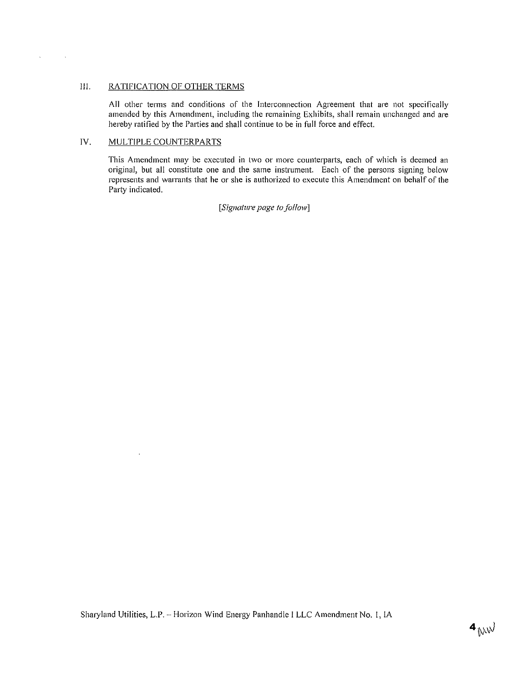## III. RATIFICATION OF OTHER TERMS

All other terms and conditions of the Interconnection Agreement that are not specifically amended by this Amendment, including the remaining Exhibits, shall remain unchanged and are hereby ratified by the Parties and shall continue to be in full force and effect.

## IV. MULTIPLE COUNTERPARTS

 $\mathcal{L}$ 

 $\bar{\mathbf{v}}$ 

 $\sim$   $\sim$ 

This Amendment may be executed in two or more counterparts, each of which is deemed an original, but all constitute one and the same instrument. Each of the persons signing below represents and warrants that he or she is authorized to execute this Amendment on behalf of the Party indicated.

### *[Signature page to follow]*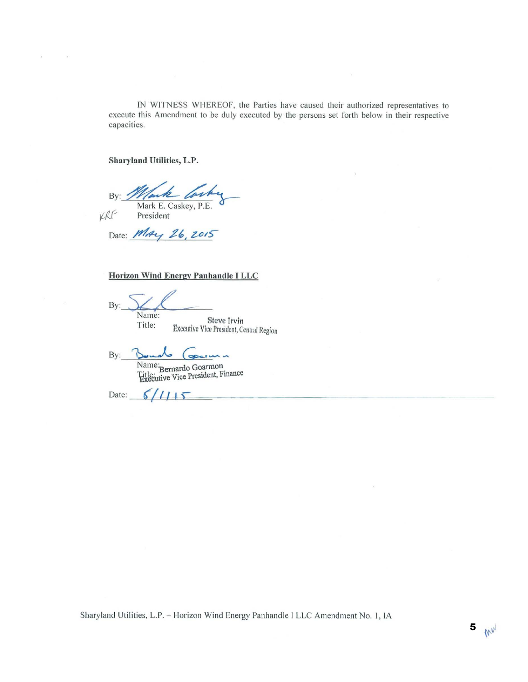IN WITNESS WHEREOF, the Parties have caused their authorized representatives to execute this Amendment to be duly executed by the persons set forth below in their respective capacities.

Sharyland Utilities, L.P.

President

By:  $\leq$ Wark Corby

KRF

Date: *MAY* 26, 2015

# Horizon Wind Energy Panhandle I LLC

By: Name:

Title: Steve Irvin Executive Vice President, Central Region

By: Bounds (securin Name: Bernardo Goarmon President, Finance

Date:  $6/115$ 

Sharyland Utilities, L.P. - Horizon Wind Energy Panhandle I LLC Amendment No. 1, IA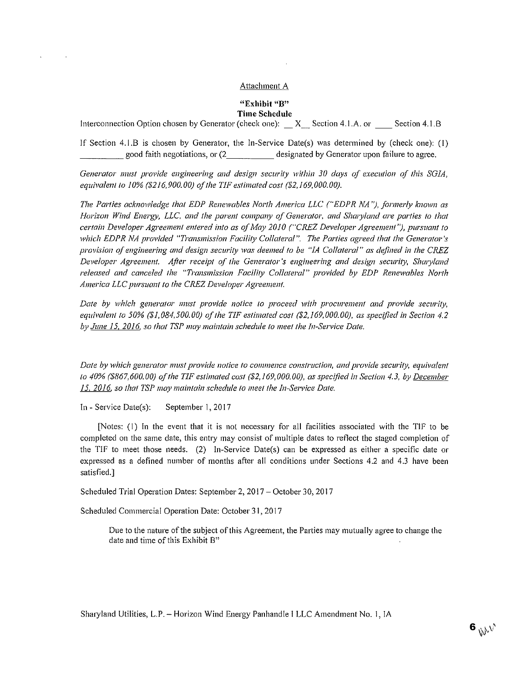#### **Attachment A**

#### **"Exhibit "B" Time Schedule**

Interconnection Option chosen by Generator (check one): \_ X\_ Section 4.1.A. or \_ Section 4.1.B

If Section 4.1.B is chosen by Generator, the In-Service Date(s) was determined by (check one): (I) \_\_\_\_\_ good faith negotiations, or (2. \_\_\_\_\_ designated by Generator upon failure to agree.

*Generator must provide engineering and design security within 30 days of execution of this SGJA,*  equivalent to 10% (\$216,900.00) of the TIF estimated cost (\$2,169,000.00).

The Parties acknowledge that EDP Renewables North America LLC ("EDPR NA"), formerly known as *Horizon Wind Energy, LLC, and the parent company of Generator, and Sharyland are parties to that certain Developer Agreement entered into as of May 2010 ("CREZ Developer Agreement"), pursuant to* which EDPR NA provided "Transmission Facility Collateral". The Parties agreed that the Generator's *provision of engineering and design security was deemed to be "IA Collateral" as defined in the CREZ Developer Agreement. Ajier receipt of the Generator's engineering and design security, Shwyland released and canceled the "Transmission Facility Collateml" provided by EDP Renewables North America LLC pursuant to the CREZ Developer Agreement.* 

*Date by which generator must provide notice to proceed with procurement and provide security, equivalent to 50% (\$1,084,500.00) of the TIF estimated cost (\$2,169,000.00), as specified in Section 4.2* by June 15, 2016, so that TSP may maintain schedule to meet the In-Service Date.

*Date by which generator must provide notice to commence construction, and provide security, equivalent to 40% (\$867,600.00) oft he TIF estimated cost (\$2, 169,000.00), as specified in Section 4.3, by December*  15, 2016, so that TSP may maintain schedule to meet the In-Service Date.

In- Service Date(s): September I, 2017

[Notes: (1) In the event that it is not necessary for all facilities associated with the TIF to be completed on the same date, this entry may consist of multiple dates to reflect the staged completion of the TIF to meet those needs. (2) In-Service Date(s) can be expressed as either a specific date or expressed as a defined number of months after all conditions under Sections 4.2 and 4.3 have been satisfied.]

Scheduled Trial Operation Dates: September 2, 2017- October 30, 2017

Scheduled Commercial Operation Date: October 31, 2017

Due to the nature of the subject of this Agreement, the Parties may mutually agree to change the date and time of this Exhibit B"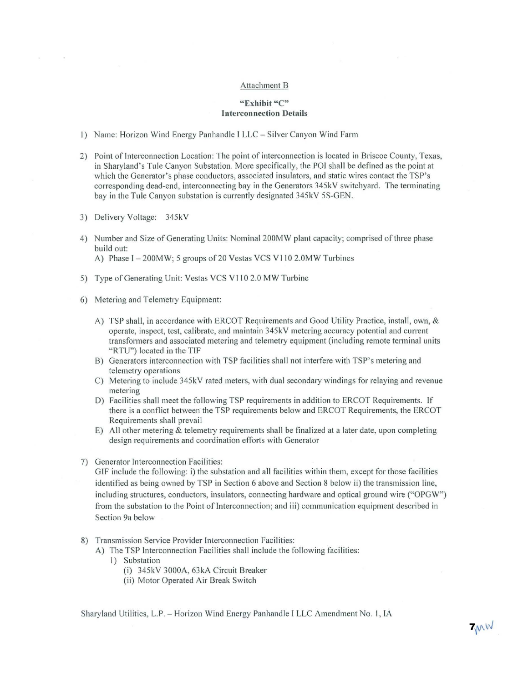#### Attachment B

### **"Exhibit** "C" **Interconnection Details**

- 1) Name: Horizon Wind Energy Panhandle I LLC Silver Canyon Wind Farm
- 2) Point of Interconnection Location: The point of interconnection is located in Briscoe County, Texas, in Sharyland's Tule Canyon Substation. More specifically, the POI shall be defined as the point at which the Generator's phase conductors, associated insulators, and static wires contact the TSP's corresponding dead-end, interconnecting bay in the Generators 345kV switchyard. The terminating bay in the Tule Canyon substation is currently designated 345kV 5S-GEN.
- 3) Delivery Voltage: 345kY
- 4) Number and Size of Generating Units: Nominal 200MW plant capacity; comprised of three phase build out:

A) Phase I - 200MW; 5 groups of 20 Vestas VCS V110 2.0MW Turbines

- 5) Type of Generating Unit: Vestas VCS V110 2.0 MW Turbine
- 6) Metering and Telemetry Equipment:
	- A) TSP shall, in accordance with ERCOT Requirements and Good Utility Practice, install, own, & operate, inspect, test, calibrate, and maintain 345kV metering accuracy potential and current transformers and associated metering and telemetry equ ipment (including remote terminal units "RTU") located in the TIF
	- B) Generators interconnection with TSP facilities shall not interfere with TSP's metering and telemetry operations
	- C) Metering to include 345kV rated meters, with dual secondary windings for relaying and revenue metering
	- D) Facilities shall meet the following TSP requirements in addition to ERCOT Requirements. If there is a conflict between the TSP requirements below and ERCOT Requirements, the ERCOT Requirements shall prevail
	- E) All other metering  $&$  telemetry requirements shall be finalized at a later date, upon completing design requirements and coordination efforts with Generator
- 7) Generator Interconnection Facilities:

GIF include the following: i) the substation and all facilities within them, except for those facilities identified as being owned by TSP in Section 6 above and Section 8 below ii) the transmission line, including structures, conductors, insulators, connecting hardware and optical ground wire ("OPGW" ) from the substation to the Point of Interconnection; and iii) communication equipment described in Section 9a below

- 8) Transmission Service Provider Interconnection Facilities:
	- A) The TSP Interconnection Facilities shall include the following facilities:
		- I) Substation
			- (i) 345kV 3000A, 63kA Circuit Breaker
			- (ii) Motor Operated Air Break Switch

Sharyland Utilities, L.P. - Horizon Wind Energy Panhandle *I* LLC Amendment No. I, lA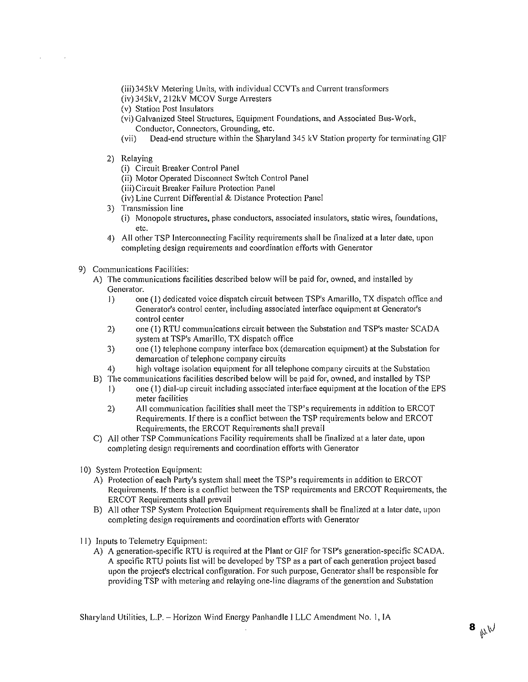(iii)345kV Metering Units, with individual CCVTs and Current transformers

(iv) 345kV, 212kV MCOV Surge Arresters

(v) Station Post Insulators

- (vi) Galvanized Steel Structures, Equipment Foundations, and Associated Bus-Work, Conductor, Connectors, Grounding, etc.
- (vii) Dead-end structure within the Sharyland 345 kV Station property for terminating GIF
- 2) Relaying

(i) Circuit Breaker Control Panel

(ii) Motor Operated Disconnect Switch Control Panel

(iii) Circuit Breaker Failure Protection Panel

- (iv) Line Current Differential & Distance Protection Panel
- 3) Transmission line
	- (i) Monopole structures, phase conductors, associated insulators, static wires, foundations, etc.
- 4) All other TSP Interconnecting Facility requirements shall be finalized at a later date, upon completing design requirements and coordination efforts with Generator
- 9) Communications Facilities:
	- A) The communications facilities described below will be paid for, owned, and installed by Generator.
		- I) one (1) dedicated voice dispatch circuit between TSP's Amarillo, TX dispatch office and Generator's control center, including associated interface equipment at Generator's control center
		- 2) one (1) RTU communications circuit between the Substation and TSP's master SCADA system at TSP's Amarillo, TX dispatch office
		- 3) one (I) telephone company interface box (demarcation equipment) at the Substation for demarcation of telephone company circuits
		- 4) high voltage isolation equipment for all telephone company circuits at the Substation
	- B) The communications facilities described below will be paid for, owned, and installed by TSP
		- I) one (I) dial-up circuit including associated interface equipment at the location of the EPS meter facilities
		- 2) **All** communication facilities shall meet the TSP's requirements in addition to ERCOT Requirements. If there is a conflict between the TSP requirements below and ERCOT Requirements, the ERCOT Requirements shall prevail
	- C) All other TSP Communications Facility requirements shall be finalized at a later date, upon completing design requirements and coordination efforts with Generator
- 10) System Protection Equipment:
	- A) Protection of each Party's system shall meet the TSP's requirements in addition to ERCOT Requirements. If there is a conflict between the TSP requirements and ERCOT Requirements, the ERCOT Requirements shall prevail
	- B) All other TSP System Protection Equipment requirements shall be finalized at a later date, upon completing design requirements and coordination efforts with Generator
- II) Inputs to Telemetry Equipment:
	- A) A generation-specific RTU is required at the Plant or GIF for TSP's generation-specific SCADA. A specific RTU points list will be developed by TSP as a part of each generation project based upon the project's electrical configuration. For such purpose, Generator shall be responsible for providing TSP with metering and relaying one-line diagrams of the generation and Substation